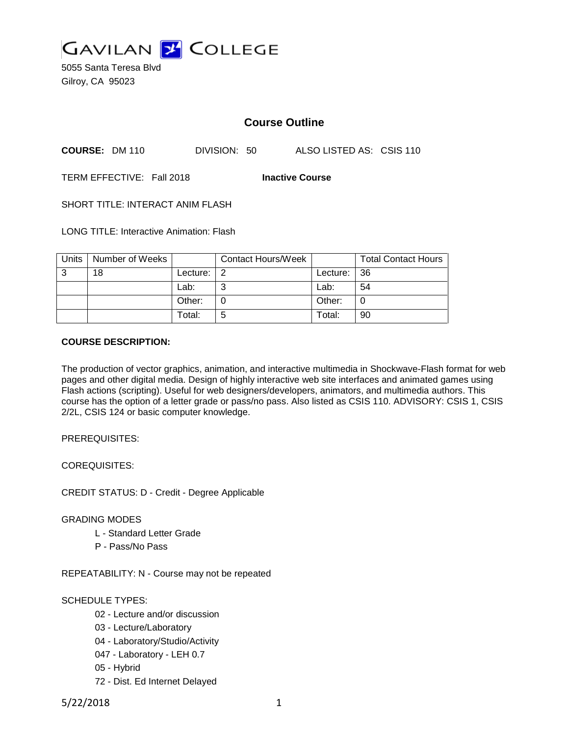

5055 Santa Teresa Blvd Gilroy, CA 95023

## **Course Outline**

**COURSE:** DM 110 DIVISION: 50 ALSO LISTED AS: CSIS 110

TERM EFFECTIVE: Fall 2018 **Inactive Course**

SHORT TITLE: INTERACT ANIM FLASH

LONG TITLE: Interactive Animation: Flash

| Units | Number of Weeks |          | <b>Contact Hours/Week</b> |             | <b>Total Contact Hours</b> |
|-------|-----------------|----------|---------------------------|-------------|----------------------------|
| 3     | 18              | Lecture: | 2                         | Lecture: 36 |                            |
|       |                 | Lab:     | ⌒                         | Lab:        | 54                         |
|       |                 | Other:   |                           | Other:      |                            |
|       |                 | Total:   | 5                         | Total:      | 90                         |

#### **COURSE DESCRIPTION:**

The production of vector graphics, animation, and interactive multimedia in Shockwave-Flash format for web pages and other digital media. Design of highly interactive web site interfaces and animated games using Flash actions (scripting). Useful for web designers/developers, animators, and multimedia authors. This course has the option of a letter grade or pass/no pass. Also listed as CSIS 110. ADVISORY: CSIS 1, CSIS 2/2L, CSIS 124 or basic computer knowledge.

PREREQUISITES:

COREQUISITES:

CREDIT STATUS: D - Credit - Degree Applicable

GRADING MODES

- L Standard Letter Grade
- P Pass/No Pass

REPEATABILITY: N - Course may not be repeated

SCHEDULE TYPES:

- 02 Lecture and/or discussion
- 03 Lecture/Laboratory
- 04 Laboratory/Studio/Activity
- 047 Laboratory LEH 0.7
- 05 Hybrid
- 72 Dist. Ed Internet Delayed

5/22/2018 1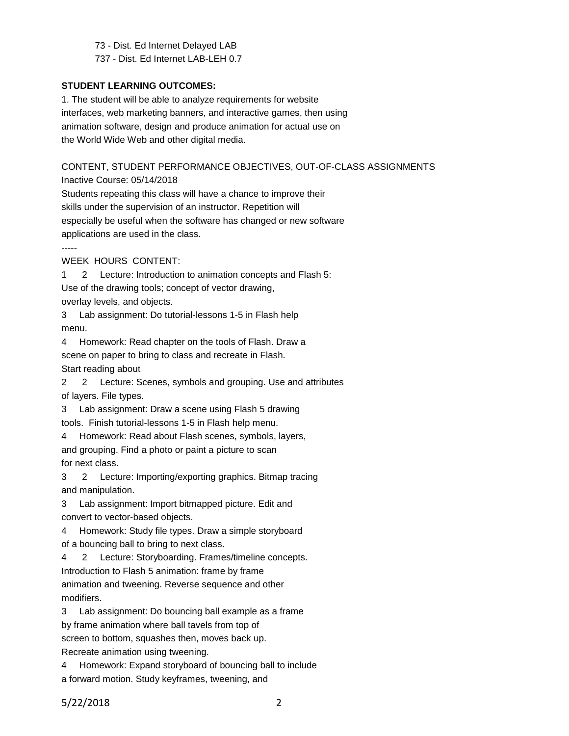73 - Dist. Ed Internet Delayed LAB 737 - Dist. Ed Internet LAB-LEH 0.7

#### **STUDENT LEARNING OUTCOMES:**

1. The student will be able to analyze requirements for website interfaces, web marketing banners, and interactive games, then using animation software, design and produce animation for actual use on the World Wide Web and other digital media.

# CONTENT, STUDENT PERFORMANCE OBJECTIVES, OUT-OF-CLASS ASSIGNMENTS

Inactive Course: 05/14/2018

Students repeating this class will have a chance to improve their skills under the supervision of an instructor. Repetition will especially be useful when the software has changed or new software applications are used in the class.

-----

WEEK HOURS CONTENT:

1 2 Lecture: Introduction to animation concepts and Flash 5:

Use of the drawing tools; concept of vector drawing,

overlay levels, and objects.

3 Lab assignment: Do tutorial-lessons 1-5 in Flash help menu.

4 Homework: Read chapter on the tools of Flash. Draw a scene on paper to bring to class and recreate in Flash. Start reading about

2 2 Lecture: Scenes, symbols and grouping. Use and attributes of layers. File types.

3 Lab assignment: Draw a scene using Flash 5 drawing tools. Finish tutorial-lessons 1-5 in Flash help menu.

4 Homework: Read about Flash scenes, symbols, layers, and grouping. Find a photo or paint a picture to scan for next class.

3 2 Lecture: Importing/exporting graphics. Bitmap tracing and manipulation.

3 Lab assignment: Import bitmapped picture. Edit and convert to vector-based objects.

4 Homework: Study file types. Draw a simple storyboard of a bouncing ball to bring to next class.

4 2 Lecture: Storyboarding. Frames/timeline concepts. Introduction to Flash 5 animation: frame by frame animation and tweening. Reverse sequence and other modifiers.

3 Lab assignment: Do bouncing ball example as a frame by frame animation where ball tavels from top of

screen to bottom, squashes then, moves back up.

Recreate animation using tweening.

4 Homework: Expand storyboard of bouncing ball to include a forward motion. Study keyframes, tweening, and

5/22/2018 2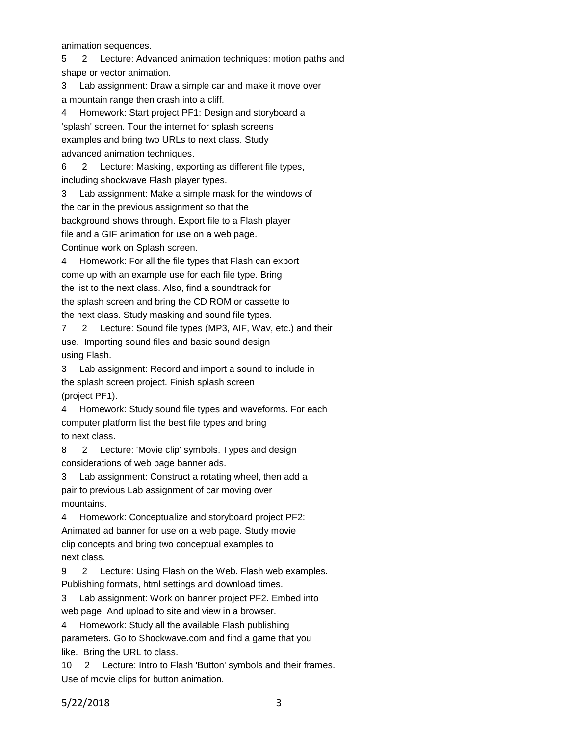animation sequences.

5 2 Lecture: Advanced animation techniques: motion paths and

shape or vector animation.

3 Lab assignment: Draw a simple car and make it move over a mountain range then crash into a cliff.

4 Homework: Start project PF1: Design and storyboard a 'splash' screen. Tour the internet for splash screens examples and bring two URLs to next class. Study advanced animation techniques.

6 2 Lecture: Masking, exporting as different file types, including shockwave Flash player types.

3 Lab assignment: Make a simple mask for the windows of the car in the previous assignment so that the background shows through. Export file to a Flash player file and a GIF animation for use on a web page. Continue work on Splash screen.

4 Homework: For all the file types that Flash can export come up with an example use for each file type. Bring the list to the next class. Also, find a soundtrack for the splash screen and bring the CD ROM or cassette to the next class. Study masking and sound file types.

7 2 Lecture: Sound file types (MP3, AIF, Wav, etc.) and their use. Importing sound files and basic sound design using Flash.

3 Lab assignment: Record and import a sound to include in the splash screen project. Finish splash screen (project PF1).

4 Homework: Study sound file types and waveforms. For each computer platform list the best file types and bring to next class.

8 2 Lecture: 'Movie clip' symbols. Types and design considerations of web page banner ads.

3 Lab assignment: Construct a rotating wheel, then add a pair to previous Lab assignment of car moving over mountains.

4 Homework: Conceptualize and storyboard project PF2: Animated ad banner for use on a web page. Study movie clip concepts and bring two conceptual examples to next class.

9 2 Lecture: Using Flash on the Web. Flash web examples. Publishing formats, html settings and download times.

3 Lab assignment: Work on banner project PF2. Embed into web page. And upload to site and view in a browser.

4 Homework: Study all the available Flash publishing parameters. Go to Shockwave.com and find a game that you like. Bring the URL to class.

10 2 Lecture: Intro to Flash 'Button' symbols and their frames. Use of movie clips for button animation.

5/22/2018 3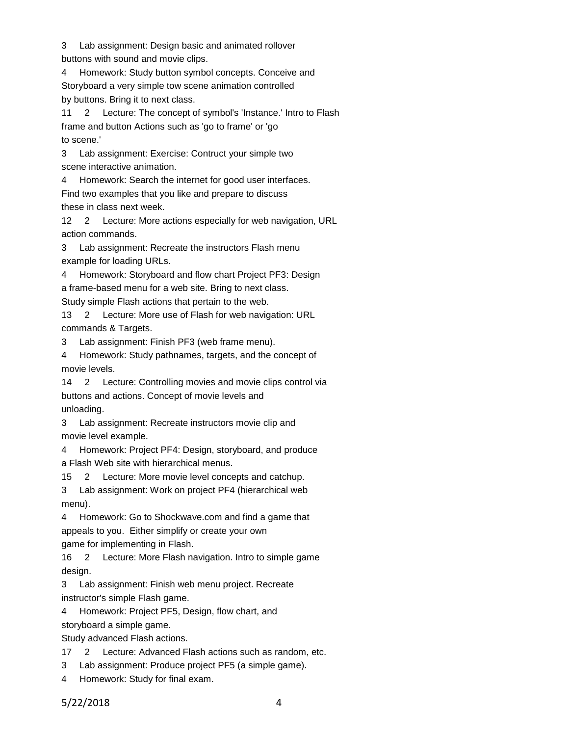3 Lab assignment: Design basic and animated rollover buttons with sound and movie clips.

4 Homework: Study button symbol concepts. Conceive and Storyboard a very simple tow scene animation controlled by buttons. Bring it to next class.

11 2 Lecture: The concept of symbol's 'Instance.' Intro to Flash frame and button Actions such as 'go to frame' or 'go to scene.'

3 Lab assignment: Exercise: Contruct your simple two scene interactive animation.

4 Homework: Search the internet for good user interfaces.

Find two examples that you like and prepare to discuss these in class next week.

12 2 Lecture: More actions especially for web navigation, URL action commands.

3 Lab assignment: Recreate the instructors Flash menu example for loading URLs.

4 Homework: Storyboard and flow chart Project PF3: Design a frame-based menu for a web site. Bring to next class.

Study simple Flash actions that pertain to the web.

13 2 Lecture: More use of Flash for web navigation: URL commands & Targets.

3 Lab assignment: Finish PF3 (web frame menu).

4 Homework: Study pathnames, targets, and the concept of movie levels.

14 2 Lecture: Controlling movies and movie clips control via buttons and actions. Concept of movie levels and unloading.

3 Lab assignment: Recreate instructors movie clip and movie level example.

4 Homework: Project PF4: Design, storyboard, and produce a Flash Web site with hierarchical menus.

15 2 Lecture: More movie level concepts and catchup.

3 Lab assignment: Work on project PF4 (hierarchical web menu).

4 Homework: Go to Shockwave.com and find a game that appeals to you. Either simplify or create your own game for implementing in Flash.

16 2 Lecture: More Flash navigation. Intro to simple game design.

3 Lab assignment: Finish web menu project. Recreate instructor's simple Flash game.

4 Homework: Project PF5, Design, flow chart, and

storyboard a simple game.

Study advanced Flash actions.

17 2 Lecture: Advanced Flash actions such as random, etc.

3 Lab assignment: Produce project PF5 (a simple game).

4 Homework: Study for final exam.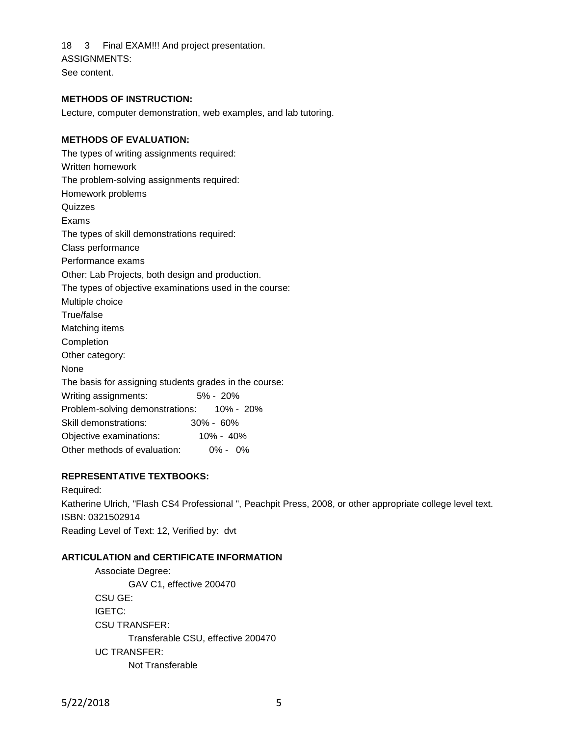18 3 Final EXAM!!! And project presentation. ASSIGNMENTS:

See content.

#### **METHODS OF INSTRUCTION:**

Lecture, computer demonstration, web examples, and lab tutoring.

#### **METHODS OF EVALUATION:**

The types of writing assignments required: Written homework The problem-solving assignments required: Homework problems **Quizzes** Exams The types of skill demonstrations required: Class performance Performance exams Other: Lab Projects, both design and production. The types of objective examinations used in the course: Multiple choice True/false Matching items Completion Other category: None The basis for assigning students grades in the course: Writing assignments: 5% - 20% Problem-solving demonstrations: 10% - 20% Skill demonstrations: 30% - 60% Objective examinations: 10% - 40% Other methods of evaluation: 0% - 0%

### **REPRESENTATIVE TEXTBOOKS:**

Required: Katherine Ulrich, "Flash CS4 Professional ", Peachpit Press, 2008, or other appropriate college level text. ISBN: 0321502914 Reading Level of Text: 12, Verified by: dvt

#### **ARTICULATION and CERTIFICATE INFORMATION**

Associate Degree: GAV C1, effective 200470 CSU GE: IGETC: CSU TRANSFER: Transferable CSU, effective 200470 UC TRANSFER: Not Transferable